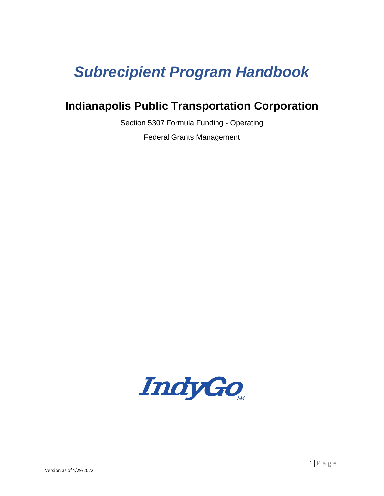# *Subrecipient Program Handbook*

# **Indianapolis Public Transportation Corporation**

Section 5307 Formula Funding - Operating

Federal Grants Management

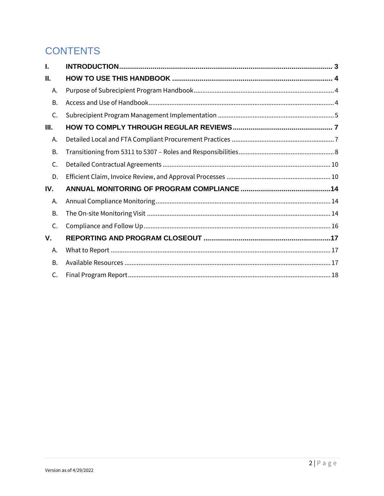# **CONTENTS**

| I.        |  |
|-----------|--|
| Ш.        |  |
| А.        |  |
| <b>B.</b> |  |
| C.        |  |
| Ш.        |  |
| Α.        |  |
| <b>B.</b> |  |
| C.        |  |
| D.        |  |
| IV.       |  |
| А.        |  |
| <b>B.</b> |  |
| C.        |  |
| V.        |  |
| А.        |  |
| <b>B.</b> |  |
| C.        |  |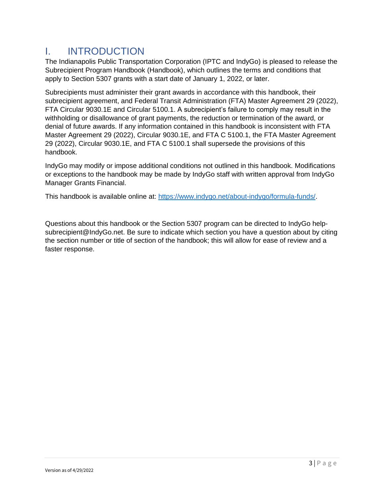# <span id="page-2-0"></span>I. INTRODUCTION

The Indianapolis Public Transportation Corporation (IPTC and IndyGo) is pleased to release the Subrecipient Program Handbook (Handbook), which outlines the terms and conditions that apply to Section 5307 grants with a start date of January 1, 2022, or later.

Subrecipients must administer their grant awards in accordance with this handbook, their subrecipient agreement, and Federal Transit Administration (FTA) Master Agreement 29 (2022), FTA Circular 9030.1E and Circular 5100.1. A subrecipient's failure to comply may result in the withholding or disallowance of grant payments, the reduction or termination of the award, or denial of future awards. If any information contained in this handbook is inconsistent with FTA Master Agreement 29 (2022), Circular 9030.1E, and FTA C 5100.1, the FTA Master Agreement 29 (2022), Circular 9030.1E, and FTA C 5100.1 shall supersede the provisions of this handbook.

IndyGo may modify or impose additional conditions not outlined in this handbook. Modifications or exceptions to the handbook may be made by IndyGo staff with written approval from IndyGo Manager Grants Financial.

This handbook is available online at: [https://www.indygo.net/about-indygo/formula-funds/.](https://www.indygo.net/about-indygo/formula-funds/)

Questions about this handbook or the Section 5307 program can be directed to IndyGo helpsubrecipient@IndyGo.net. Be sure to indicate which section you have a question about by citing the section number or title of section of the handbook; this will allow for ease of review and a faster response.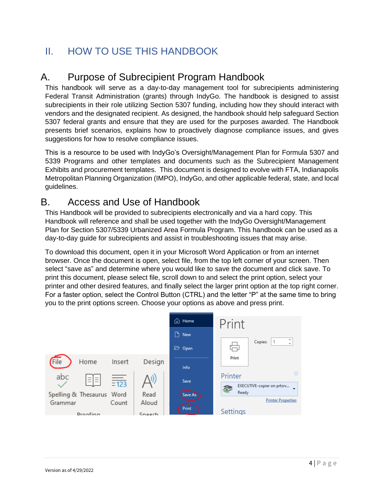# <span id="page-3-0"></span>II. HOW TO USE THIS HANDBOOK

# <span id="page-3-1"></span>A. Purpose of Subrecipient Program Handbook

This handbook will serve as a day-to-day management tool for subrecipients administering Federal Transit Administration (grants) through IndyGo. The handbook is designed to assist subrecipients in their role utilizing Section 5307 funding, including how they should interact with vendors and the designated recipient. As designed, the handbook should help safeguard Section 5307 federal grants and ensure that they are used for the purposes awarded. The Handbook presents brief scenarios, explains how to proactively diagnose compliance issues, and gives suggestions for how to resolve compliance issues.

This is a resource to be used with IndyGo's Oversight/Management Plan for Formula 5307 and 5339 Programs and other templates and documents such as the Subrecipient Management Exhibits and procurement templates. This document is designed to evolve with FTA, Indianapolis Metropolitan Planning Organization (IMPO), IndyGo, and other applicable federal, state, and local guidelines.

# <span id="page-3-2"></span>B. Access and Use of Handbook

This Handbook will be provided to subrecipients electronically and via a hard copy. This Handbook will reference and shall be used together with the IndyGo Oversight/Management Plan for Section 5307/5339 Urbanized Area Formula Program. This handbook can be used as a day-to-day guide for subrecipients and assist in troubleshooting issues that may arise.

To download this document, open it in your Microsoft Word Application or from an internet browser. Once the document is open, select file, from the top left corner of your screen. Then select "save as" and determine where you would like to save the document and click save. To print this document, please select file, scroll down to and select the print option, select your printer and other desired features, and finally select the larger print option at the top right corner. For a faster option, select the Control Button (CTRL) and the letter "P" at the same time to bring you to the print options screen. Choose your options as above and press print.

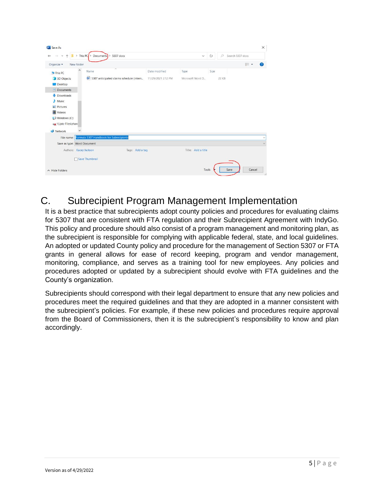|                                   | > This PC $\rightarrow$<br>5307 docs<br><b>Documents</b><br>$\rightarrow$ |                    | $\checkmark$       | Ü    | $\circ$<br>Search 5307 docs |                |   |
|-----------------------------------|---------------------------------------------------------------------------|--------------------|--------------------|------|-----------------------------|----------------|---|
| New folder<br>Organize -          |                                                                           |                    |                    |      |                             | $\mathbb{E}$ . | Ø |
| Λ<br>This PC                      | ×<br>Name                                                                 | Date modified      | Type               | Size |                             |                |   |
| 3D Objects<br>Desktop             | 5307 anticipated claims schedule (intern                                  | 11/29/2021 2:12 PM | Microsoft Word D   |      | 22 KB                       |                |   |
| Documents                         |                                                                           |                    |                    |      |                             |                |   |
| Downloads<br>J.<br>Music<br>ħ.    |                                                                           |                    |                    |      |                             |                |   |
| $=$ Pictures                      |                                                                           |                    |                    |      |                             |                |   |
| Videos                            |                                                                           |                    |                    |      |                             |                |   |
| Windows (C:)<br>Wiptc-Files\share |                                                                           |                    |                    |      |                             |                |   |
| Network                           |                                                                           |                    |                    |      |                             |                |   |
| File name:                        | Formula 5307 Handbook for Subrecipients                                   |                    |                    |      |                             |                |   |
|                                   |                                                                           |                    |                    |      |                             |                |   |
| Save as type: Word Document       |                                                                           |                    | Title: Add a title |      |                             |                |   |
| Authors: Kacey Jackson            | Tags: Add a tag                                                           |                    |                    |      |                             |                |   |

# <span id="page-4-0"></span>C. Subrecipient Program Management Implementation

It is a best practice that subrecipients adopt county policies and procedures for evaluating claims for 5307 that are consistent with FTA regulation and their Subrecipient Agreement with IndyGo. This policy and procedure should also consist of a program management and monitoring plan, as the subrecipient is responsible for complying with applicable federal, state, and local guidelines. An adopted or updated County policy and procedure for the management of Section 5307 or FTA grants in general allows for ease of record keeping, program and vendor management, monitoring, compliance, and serves as a training tool for new employees. Any policies and procedures adopted or updated by a subrecipient should evolve with FTA guidelines and the County's organization.

Subrecipients should correspond with their legal department to ensure that any new policies and procedures meet the required guidelines and that they are adopted in a manner consistent with the subrecipient's policies. For example, if these new policies and procedures require approval from the Board of Commissioners, then it is the subrecipient's responsibility to know and plan accordingly.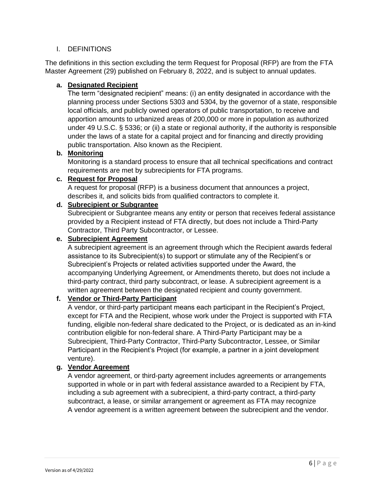#### I. DEFINITIONS

The definitions in this section excluding the term Request for Proposal (RFP) are from the FTA Master Agreement (29) published on February 8, 2022, and is subject to annual updates.

#### **a. Designated Recipient**

The term "designated recipient" means: (i) an entity designated in accordance with the planning process under Sections 5303 and 5304, by the governor of a state, responsible local officials, and publicly owned operators of public transportation, to receive and apportion amounts to urbanized areas of 200,000 or more in population as authorized under 49 U.S.C. § 5336; or (ii) a state or regional authority, if the authority is responsible under the laws of a state for a capital project and for financing and directly providing public transportation. Also known as the Recipient.

#### **b. Monitoring**

Monitoring is a standard process to ensure that all technical specifications and contract requirements are met by subrecipients for FTA programs.

#### **c. Request for Proposal**

A request for proposal (RFP) is a business document that announces a project, describes it, and solicits bids from qualified contractors to complete it.

#### **d. Subrecipient or Subgrantee**

Subrecipient or Subgrantee means any entity or person that receives federal assistance provided by a Recipient instead of FTA directly, but does not include a Third-Party Contractor, Third Party Subcontractor, or Lessee.

#### **e. Subrecipient Agreement**

A subrecipient agreement is an agreement through which the Recipient awards federal assistance to its Subrecipient(s) to support or stimulate any of the Recipient's or Subrecipient's Projects or related activities supported under the Award, the accompanying Underlying Agreement, or Amendments thereto, but does not include a third-party contract, third party subcontract, or lease. A subrecipient agreement is a written agreement between the designated recipient and county government.

#### **f. Vendor or Third-Party Participant**

A vendor, or third-party participant means each participant in the Recipient's Project, except for FTA and the Recipient, whose work under the Project is supported with FTA funding, eligible non-federal share dedicated to the Project, or is dedicated as an in-kind contribution eligible for non-federal share. A Third-Party Participant may be a Subrecipient, Third-Party Contractor, Third-Party Subcontractor, Lessee, or Similar Participant in the Recipient's Project (for example, a partner in a joint development venture).

### **g. Vendor Agreement**

A vendor agreement, or third-party agreement includes agreements or arrangements supported in whole or in part with federal assistance awarded to a Recipient by FTA, including a sub agreement with a subrecipient, a third-party contract, a third-party subcontract, a lease, or similar arrangement or agreement as FTA may recognize A vendor agreement is a written agreement between the subrecipient and the vendor.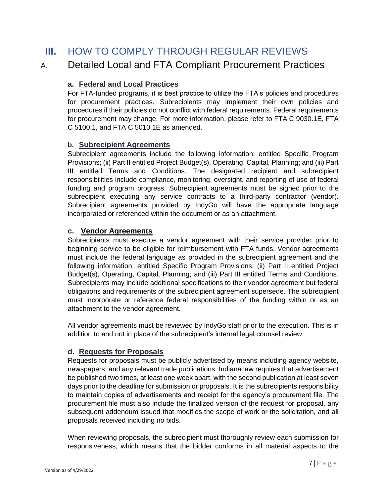# <span id="page-6-0"></span>**III.** HOW TO COMPLY THROUGH REGULAR REVIEWS

### <span id="page-6-1"></span>A. Detailed Local and FTA Compliant Procurement Practices

### **a. Federal and Local Practices**

For FTA-funded programs, it is best practice to utilize the FTA's policies and procedures for procurement practices. Subrecipients may implement their own policies and procedures if their policies do not conflict with federal requirements. Federal requirements for procurement may change. For more information, please refer to FTA C 9030.1E, FTA C 5100.1, and FTA C 5010.1E as amended.

#### **b. Subrecipient Agreements**

Subrecipient agreements include the following information: entitled Specific Program Provisions; (ii) Part II entitled Project Budget(s), Operating, Capital, Planning; and (iii) Part III entitled Terms and Conditions. The designated recipient and subrecipient responsibilities include compliance, monitoring, oversight, and reporting of use of federal funding and program progress. Subrecipient agreements must be signed prior to the subrecipient executing any service contracts to a third-party contractor (vendor). Subrecipient agreements provided by IndyGo will have the appropriate language incorporated or referenced within the document or as an attachment.

#### **c. Vendor Agreements**

Subrecipients must execute a vendor agreement with their service provider prior to beginning service to be eligible for reimbursement with FTA funds. Vendor agreements must include the federal language as provided in the subrecipient agreement and the following information: entitled Specific Program Provisions; (ii) Part II entitled Project Budget(s), Operating, Capital, Planning; and (iii) Part III entitled Terms and Conditions. Subrecipients may include additional specifications to their vendor agreement but federal obligations and requirements of the subrecipient agreement supersede. The subrecipient must incorporate or reference federal responsibilities of the funding within or as an attachment to the vendor agreement.

All vendor agreements must be reviewed by IndyGo staff prior to the execution. This is in addition to and not in place of the subrecipient's internal legal counsel review.

### **d. Requests for Proposals**

Requests for proposals must be publicly advertised by means including agency website, newspapers, and any relevant trade publications. Indiana law requires that advertisement be published two times, at least one week apart, with the second publication at least seven days prior to the deadline for submission or proposals. It is the subrecipients responsibility to maintain copies of advertisements and receipt for the agency's procurement file. The procurement file must also include the finalized version of the request for proposal, any subsequent addendum issued that modifies the scope of work or the solicitation, and all proposals received including no bids.

When reviewing proposals, the subrecipient must thoroughly review each submission for responsiveness, which means that the bidder conforms in all material aspects to the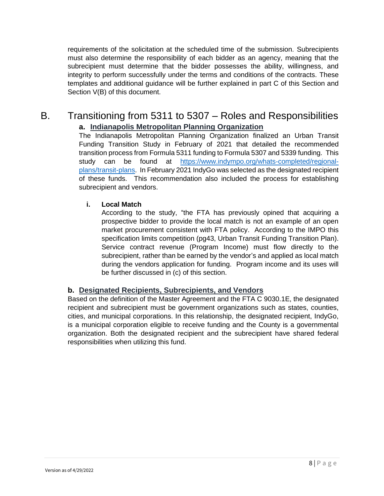requirements of the solicitation at the scheduled time of the submission. Subrecipients must also determine the responsibility of each bidder as an agency, meaning that the subrecipient must determine that the bidder possesses the ability, willingness, and integrity to perform successfully under the terms and conditions of the contracts. These templates and additional guidance will be further explained in part C of this Section and Section V(B) of this document.

### <span id="page-7-0"></span>B. Transitioning from 5311 to 5307 – Roles and Responsibilities **a. Indianapolis Metropolitan Planning Organization**

The Indianapolis Metropolitan Planning Organization finalized an Urban Transit Funding Transition Study in February of 2021 that detailed the recommended transition process from Formula 5311 funding to Formula 5307 and 5339 funding. This study can be found at [https://www.indympo.org/whats-completed/regional](https://www.indympo.org/whats-completed/regional-plans/transit-plans)[plans/transit-plans.](https://www.indympo.org/whats-completed/regional-plans/transit-plans) In February 2021 IndyGo was selected as the designated recipient of these funds. This recommendation also included the process for establishing subrecipient and vendors.

#### **i. Local Match**

According to the study, "the FTA has previously opined that acquiring a prospective bidder to provide the local match is not an example of an open market procurement consistent with FTA policy. According to the IMPO this specification limits competition (pg43, Urban Transit Funding Transition Plan). Service contract revenue (Program Income) must flow directly to the subrecipient, rather than be earned by the vendor's and applied as local match during the vendors application for funding. Program income and its uses will be further discussed in (c) of this section.

### **b. Designated Recipients, Subrecipients, and Vendors**

Based on the definition of the Master Agreement and the FTA C 9030.1E, the designated recipient and subrecipient must be government organizations such as states, counties, cities, and municipal corporations. In this relationship, the designated recipient, IndyGo, is a municipal corporation eligible to receive funding and the County is a governmental organization. Both the designated recipient and the subrecipient have shared federal responsibilities when utilizing this fund.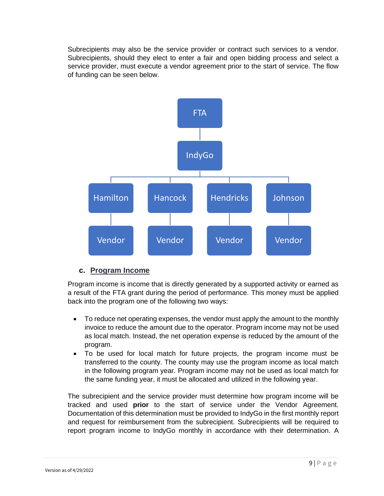Subrecipients may also be the service provider or contract such services to a vendor. Subrecipients, should they elect to enter a fair and open bidding process and select a service provider, must execute a vendor agreement prior to the start of service. The flow of funding can be seen below.



### **c. Program Income**

Program income is income that is directly generated by a supported activity or earned as a result of the FTA grant during the period of performance. This money must be applied back into the program one of the following two ways:

- To reduce net operating expenses, the vendor must apply the amount to the monthly invoice to reduce the amount due to the operator. Program income may not be used as local match. Instead, the net operation expense is reduced by the amount of the program.
- To be used for local match for future projects, the program income must be transferred to the county. The county may use the program income as local match in the following program year. Program income may not be used as local match for the same funding year, it must be allocated and utilized in the following year.

The subrecipient and the service provider must determine how program income will be tracked and used **prior** to the start of service under the Vendor Agreement. Documentation of this determination must be provided to IndyGo in the first monthly report and request for reimbursement from the subrecipient. Subrecipients will be required to report program income to IndyGo monthly in accordance with their determination. A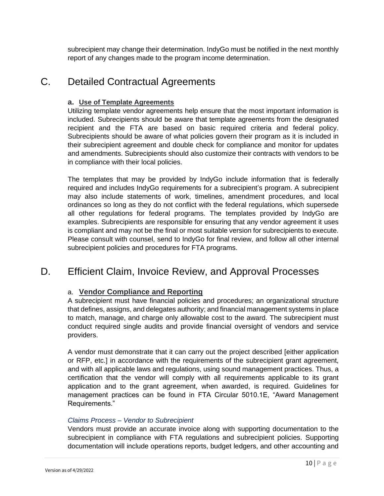subrecipient may change their determination. IndyGo must be notified in the next monthly report of any changes made to the program income determination.

# <span id="page-9-0"></span>C. Detailed Contractual Agreements

#### **a. Use of Template Agreements**

Utilizing template vendor agreements help ensure that the most important information is included. Subrecipients should be aware that template agreements from the designated recipient and the FTA are based on basic required criteria and federal policy. Subrecipients should be aware of what policies govern their program as it is included in their subrecipient agreement and double check for compliance and monitor for updates and amendments. Subrecipients should also customize their contracts with vendors to be in compliance with their local policies.

The templates that may be provided by IndyGo include information that is federally required and includes IndyGo requirements for a subrecipient's program. A subrecipient may also include statements of work, timelines, amendment procedures, and local ordinances so long as they do not conflict with the federal regulations, which supersede all other regulations for federal programs. The templates provided by IndyGo are examples. Subrecipients are responsible for ensuring that any vendor agreement it uses is compliant and may not be the final or most suitable version for subrecipients to execute. Please consult with counsel, send to IndyGo for final review, and follow all other internal subrecipient policies and procedures for FTA programs.

# <span id="page-9-1"></span>D. Efficient Claim, Invoice Review, and Approval Processes

### a. **Vendor Compliance and Reporting**

A subrecipient must have financial policies and procedures; an organizational structure that defines, assigns, and delegates authority; and financial management systems in place to match, manage, and charge only allowable cost to the award. The subrecipient must conduct required single audits and provide financial oversight of vendors and service providers.

A vendor must demonstrate that it can carry out the project described [either application or RFP, etc.] in accordance with the requirements of the subrecipient grant agreement, and with all applicable laws and regulations, using sound management practices. Thus, a certification that the vendor will comply with all requirements applicable to its grant application and to the grant agreement, when awarded, is required. Guidelines for management practices can be found in FTA Circular 5010.1E, "Award Management Requirements."

#### *Claims Process – Vendor to Subrecipient*

Vendors must provide an accurate invoice along with supporting documentation to the subrecipient in compliance with FTA regulations and subrecipient policies. Supporting documentation will include operations reports, budget ledgers, and other accounting and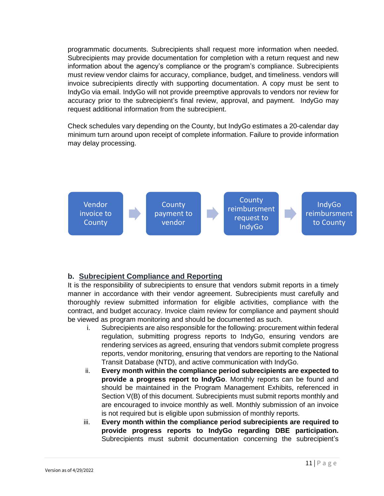programmatic documents. Subrecipients shall request more information when needed. Subrecipients may provide documentation for completion with a return request and new information about the agency's compliance or the program's compliance. Subrecipients must review vendor claims for accuracy, compliance, budget, and timeliness. vendors will invoice subrecipients directly with supporting documentation. A copy must be sent to IndyGo via email. IndyGo will not provide preemptive approvals to vendors nor review for accuracy prior to the subrecipient's final review, approval, and payment. IndyGo may request additional information from the subrecipient.

Check schedules vary depending on the County, but IndyGo estimates a 20-calendar day minimum turn around upon receipt of complete information. Failure to provide information may delay processing.



### **b. Subrecipient Compliance and Reporting**

It is the responsibility of subrecipients to ensure that vendors submit reports in a timely manner in accordance with their vendor agreement. Subrecipients must carefully and thoroughly review submitted information for eligible activities, compliance with the contract, and budget accuracy. Invoice claim review for compliance and payment should be viewed as program monitoring and should be documented as such.

- i. Subrecipients are also responsible for the following: procurement within federal regulation, submitting progress reports to IndyGo, ensuring vendors are rendering services as agreed, ensuring that vendors submit complete progress reports, vendor monitoring, ensuring that vendors are reporting to the National Transit Database (NTD), and active communication with IndyGo.
- ii. **Every month within the compliance period subrecipients are expected to provide a progress report to IndyGo**. Monthly reports can be found and should be maintained in the Program Management Exhibits, referenced in Section V(B) of this document. Subrecipients must submit reports monthly and are encouraged to invoice monthly as well. Monthly submission of an invoice is not required but is eligible upon submission of monthly reports.
- iii. **Every month within the compliance period subrecipients are required to provide progress reports to IndyGo regarding DBE participation.**  Subrecipients must submit documentation concerning the subrecipient's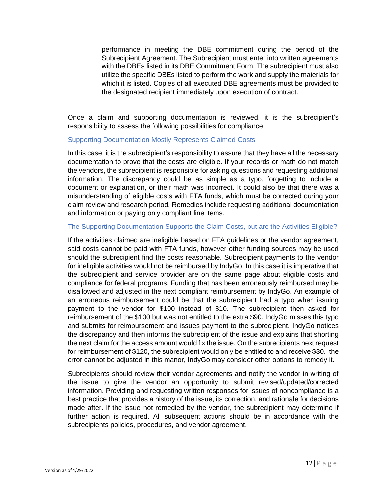performance in meeting the DBE commitment during the period of the Subrecipient Agreement. The Subrecipient must enter into written agreements with the DBEs listed in its DBE Commitment Form. The subrecipient must also utilize the specific DBEs listed to perform the work and supply the materials for which it is listed. Copies of all executed DBE agreements must be provided to the designated recipient immediately upon execution of contract.

Once a claim and supporting documentation is reviewed, it is the subrecipient's responsibility to assess the following possibilities for compliance:

#### Supporting Documentation Mostly Represents Claimed Costs

In this case, it is the subrecipient's responsibility to assure that they have all the necessary documentation to prove that the costs are eligible. If your records or math do not match the vendors, the subrecipient is responsible for asking questions and requesting additional information. The discrepancy could be as simple as a typo, forgetting to include a document or explanation, or their math was incorrect. It could also be that there was a misunderstanding of eligible costs with FTA funds, which must be corrected during your claim review and research period. Remedies include requesting additional documentation and information or paying only compliant line items.

#### The Supporting Documentation Supports the Claim Costs, but are the Activities Eligible?

If the activities claimed are ineligible based on FTA guidelines or the vendor agreement, said costs cannot be paid with FTA funds, however other funding sources may be used should the subrecipient find the costs reasonable. Subrecipient payments to the vendor for ineligible activities would not be reimbursed by IndyGo. In this case it is imperative that the subrecipient and service provider are on the same page about eligible costs and compliance for federal programs. Funding that has been erroneously reimbursed may be disallowed and adjusted in the next compliant reimbursement by IndyGo. An example of an erroneous reimbursement could be that the subrecipient had a typo when issuing payment to the vendor for \$100 instead of \$10. The subrecipient then asked for reimbursement of the \$100 but was not entitled to the extra \$90. IndyGo misses this typo and submits for reimbursement and issues payment to the subrecipient. IndyGo notices the discrepancy and then informs the subrecipient of the issue and explains that shorting the next claim for the access amount would fix the issue. On the subrecipients next request for reimbursement of \$120, the subrecipient would only be entitled to and receive \$30. the error cannot be adjusted in this manor, IndyGo may consider other options to remedy it.

Subrecipients should review their vendor agreements and notify the vendor in writing of the issue to give the vendor an opportunity to submit revised/updated/corrected information. Providing and requesting written responses for issues of noncompliance is a best practice that provides a history of the issue, its correction, and rationale for decisions made after. If the issue not remedied by the vendor, the subrecipient may determine if further action is required. All subsequent actions should be in accordance with the subrecipients policies, procedures, and vendor agreement.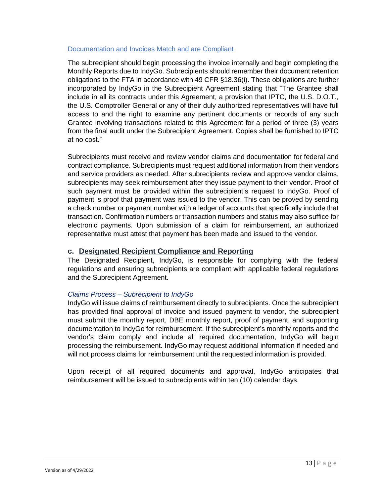#### Documentation and Invoices Match and are Compliant

The subrecipient should begin processing the invoice internally and begin completing the Monthly Reports due to IndyGo. Subrecipients should remember their document retention obligations to the FTA in accordance with 49 CFR §18.36(i). These obligations are further incorporated by IndyGo in the Subrecipient Agreement stating that "The Grantee shall include in all its contracts under this Agreement, a provision that IPTC, the U.S. D.O.T., the U.S. Comptroller General or any of their duly authorized representatives will have full access to and the right to examine any pertinent documents or records of any such Grantee involving transactions related to this Agreement for a period of three (3) years from the final audit under the Subrecipient Agreement. Copies shall be furnished to IPTC at no cost."

Subrecipients must receive and review vendor claims and documentation for federal and contract compliance. Subrecipients must request additional information from their vendors and service providers as needed. After subrecipients review and approve vendor claims, subrecipients may seek reimbursement after they issue payment to their vendor. Proof of such payment must be provided within the subrecipient's request to IndyGo. Proof of payment is proof that payment was issued to the vendor. This can be proved by sending a check number or payment number with a ledger of accounts that specifically include that transaction. Confirmation numbers or transaction numbers and status may also suffice for electronic payments. Upon submission of a claim for reimbursement, an authorized representative must attest that payment has been made and issued to the vendor.

#### **c. Designated Recipient Compliance and Reporting**

The Designated Recipient, IndyGo, is responsible for complying with the federal regulations and ensuring subrecipients are compliant with applicable federal regulations and the Subrecipient Agreement.

#### *Claims Process – Subrecipient to IndyGo*

IndyGo will issue claims of reimbursement directly to subrecipients. Once the subrecipient has provided final approval of invoice and issued payment to vendor, the subrecipient must submit the monthly report, DBE monthly report, proof of payment, and supporting documentation to IndyGo for reimbursement. If the subrecipient's monthly reports and the vendor's claim comply and include all required documentation, IndyGo will begin processing the reimbursement. IndyGo may request additional information if needed and will not process claims for reimbursement until the requested information is provided.

Upon receipt of all required documents and approval, IndyGo anticipates that reimbursement will be issued to subrecipients within ten (10) calendar days.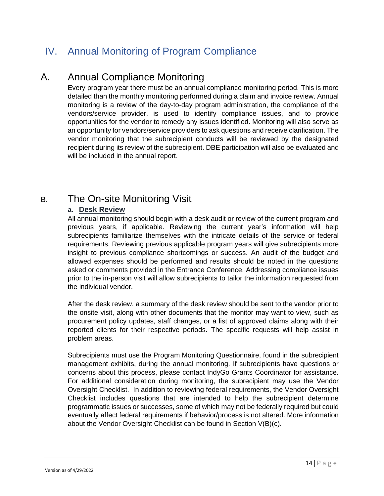# <span id="page-13-0"></span>IV. Annual Monitoring of Program Compliance

# <span id="page-13-1"></span>A. Annual Compliance Monitoring

Every program year there must be an annual compliance monitoring period. This is more detailed than the monthly monitoring performed during a claim and invoice review. Annual monitoring is a review of the day-to-day program administration, the compliance of the vendors/service provider, is used to identify compliance issues, and to provide opportunities for the vendor to remedy any issues identified. Monitoring will also serve as an opportunity for vendors/service providers to ask questions and receive clarification. The vendor monitoring that the subrecipient conducts will be reviewed by the designated recipient during its review of the subrecipient. DBE participation will also be evaluated and will be included in the annual report.

# <span id="page-13-2"></span>B. The On-site Monitoring Visit

### **a. Desk Review**

All annual monitoring should begin with a desk audit or review of the current program and previous years, if applicable. Reviewing the current year's information will help subrecipients familiarize themselves with the intricate details of the service or federal requirements. Reviewing previous applicable program years will give subrecipients more insight to previous compliance shortcomings or success. An audit of the budget and allowed expenses should be performed and results should be noted in the questions asked or comments provided in the Entrance Conference. Addressing compliance issues prior to the in-person visit will allow subrecipients to tailor the information requested from the individual vendor.

After the desk review, a summary of the desk review should be sent to the vendor prior to the onsite visit, along with other documents that the monitor may want to view, such as procurement policy updates, staff changes, or a list of approved claims along with their reported clients for their respective periods. The specific requests will help assist in problem areas.

Subrecipients must use the Program Monitoring Questionnaire, found in the subrecipient management exhibits, during the annual monitoring. If subrecipients have questions or concerns about this process, please contact IndyGo Grants Coordinator for assistance. For additional consideration during monitoring, the subrecipient may use the Vendor Oversight Checklist. In addition to reviewing federal requirements, the Vendor Oversight Checklist includes questions that are intended to help the subrecipient determine programmatic issues or successes, some of which may not be federally required but could eventually affect federal requirements if behavior/process is not altered. More information about the Vendor Oversight Checklist can be found in Section V(B)(c).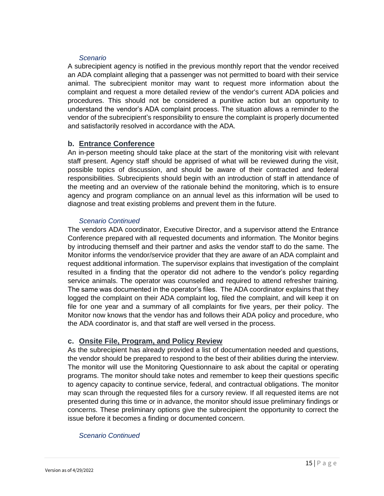#### *Scenario*

A subrecipient agency is notified in the previous monthly report that the vendor received an ADA complaint alleging that a passenger was not permitted to board with their service animal. The subrecipient monitor may want to request more information about the complaint and request a more detailed review of the vendor's current ADA policies and procedures. This should not be considered a punitive action but an opportunity to understand the vendor's ADA complaint process. The situation allows a reminder to the vendor of the subrecipient's responsibility to ensure the complaint is properly documented and satisfactorily resolved in accordance with the ADA.

#### **b. Entrance Conference**

An in-person meeting should take place at the start of the monitoring visit with relevant staff present. Agency staff should be apprised of what will be reviewed during the visit, possible topics of discussion, and should be aware of their contracted and federal responsibilities. Subrecipients should begin with an introduction of staff in attendance of the meeting and an overview of the rationale behind the monitoring, which is to ensure agency and program compliance on an annual level as this information will be used to diagnose and treat existing problems and prevent them in the future.

#### *Scenario Continued*

The vendors ADA coordinator, Executive Director, and a supervisor attend the Entrance Conference prepared with all requested documents and information. The Monitor begins by introducing themself and their partner and asks the vendor staff to do the same. The Monitor informs the vendor/service provider that they are aware of an ADA complaint and request additional information. The supervisor explains that investigation of the complaint resulted in a finding that the operator did not adhere to the vendor's policy regarding service animals. The operator was counseled and required to attend refresher training. The same was documented in the operator's files. The ADA coordinator explains that they logged the complaint on their ADA complaint log, filed the complaint, and will keep it on file for one year and a summary of all complaints for five years, per their policy. The Monitor now knows that the vendor has and follows their ADA policy and procedure, who the ADA coordinator is, and that staff are well versed in the process.

#### **c. Onsite File, Program, and Policy Review**

As the subrecipient has already provided a list of documentation needed and questions, the vendor should be prepared to respond to the best of their abilities during the interview. The monitor will use the Monitoring Questionnaire to ask about the capital or operating programs. The monitor should take notes and remember to keep their questions specific to agency capacity to continue service, federal, and contractual obligations. The monitor may scan through the requested files for a cursory review. If all requested items are not presented during this time or in advance, the monitor should issue preliminary findings or concerns. These preliminary options give the subrecipient the opportunity to correct the issue before it becomes a finding or documented concern.

#### *Scenario Continued*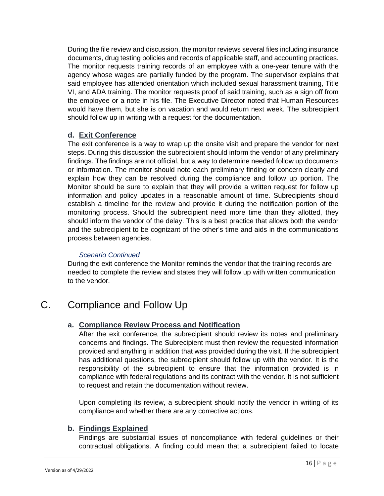During the file review and discussion, the monitor reviews several files including insurance documents, drug testing policies and records of applicable staff, and accounting practices. The monitor requests training records of an employee with a one-year tenure with the agency whose wages are partially funded by the program. The supervisor explains that said employee has attended orientation which included sexual harassment training, Title VI, and ADA training. The monitor requests proof of said training, such as a sign off from the employee or a note in his file. The Executive Director noted that Human Resources would have them, but she is on vacation and would return next week. The subrecipient should follow up in writing with a request for the documentation.

#### **d. Exit Conference**

The exit conference is a way to wrap up the onsite visit and prepare the vendor for next steps. During this discussion the subrecipient should inform the vendor of any preliminary findings. The findings are not official, but a way to determine needed follow up documents or information. The monitor should note each preliminary finding or concern clearly and explain how they can be resolved during the compliance and follow up portion. The Monitor should be sure to explain that they will provide a written request for follow up information and policy updates in a reasonable amount of time. Subrecipients should establish a timeline for the review and provide it during the notification portion of the monitoring process. Should the subrecipient need more time than they allotted, they should inform the vendor of the delay. This is a best practice that allows both the vendor and the subrecipient to be cognizant of the other's time and aids in the communications process between agencies.

#### *Scenario Continued*

During the exit conference the Monitor reminds the vendor that the training records are needed to complete the review and states they will follow up with written communication to the vendor.

# <span id="page-15-0"></span>C. Compliance and Follow Up

### **a. Compliance Review Process and Notification**

After the exit conference, the subrecipient should review its notes and preliminary concerns and findings. The Subrecipient must then review the requested information provided and anything in addition that was provided during the visit. If the subrecipient has additional questions, the subrecipient should follow up with the vendor. It is the responsibility of the subrecipient to ensure that the information provided is in compliance with federal regulations and its contract with the vendor. It is not sufficient to request and retain the documentation without review.

Upon completing its review, a subrecipient should notify the vendor in writing of its compliance and whether there are any corrective actions.

### **b. Findings Explained**

Findings are substantial issues of noncompliance with federal guidelines or their contractual obligations. A finding could mean that a subrecipient failed to locate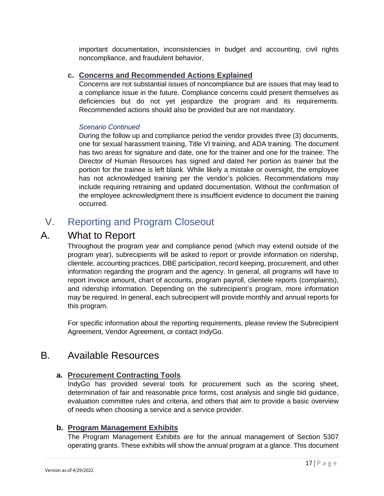important documentation, inconsistencies in budget and accounting, civil rights noncompliance, and fraudulent behavior.

### **c. Concerns and Recommended Actions Explained**

Concerns are not substantial issues of noncompliance but are issues that may lead to a compliance issue in the future. Compliance concerns could present themselves as deficiencies but do not yet jeopardize the program and its requirements. Recommended actions should also be provided but are not mandatory.

#### *Scenario Continued*

During the follow up and compliance period the vendor provides three (3) documents, one for sexual harassment training, Title VI training, and ADA training. The document has two areas for signature and date, one for the trainer and one for the trainee. The Director of Human Resources has signed and dated her portion as trainer but the portion for the trainee is left blank. While likely a mistake or oversight, the employee has not acknowledged training per the vendor's policies. Recommendations may include requiring retraining and updated documentation. Without the confirmation of the employee acknowledgment there is insufficient evidence to document the training occurred.

# <span id="page-16-0"></span>V. Reporting and Program Closeout

### <span id="page-16-1"></span>A. What to Report

Throughout the program year and compliance period (which may extend outside of the program year), subrecipients will be asked to report or provide information on ridership, clientele, accounting practices, DBE participation, record keeping, procurement, and other information regarding the program and the agency. In general, all programs will have to report invoice amount, chart of accounts, program payroll, clientele reports (complaints), and ridership information. Depending on the subrecipient's program, more information may be required. In general, each subrecipient will provide monthly and annual reports for this program.

For specific information about the reporting requirements, please review the Subrecipient Agreement, Vendor Agreement, or contact IndyGo.

### <span id="page-16-2"></span>B. Available Resources

### **a. Procurement Contracting Tools**

IndyGo has provided several tools for procurement such as the scoring sheet, determination of fair and reasonable price forms, cost analysis and single bid guidance, evaluation committee rules and criteria, and others that aim to provide a basic overview of needs when choosing a service and a service provider.

### **b. Program Management Exhibits**

The Program Management Exhibits are for the annual management of Section 5307 operating grants. These exhibits will show the annual program at a glance. This document